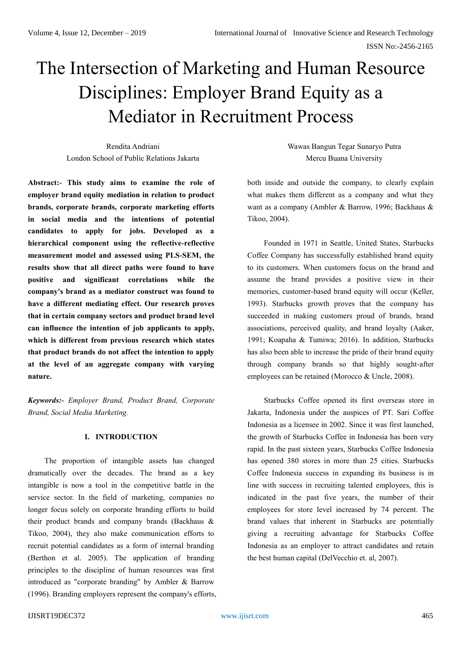# The Intersection of Marketing and Human Resource Disciplines: Employer Brand Equity as a Mediator in Recruitment Process

Rendita Andriani London School of Public Relations Jakarta

**Abstract:- This study aims to examine the role of employer brand equity mediation in relation to product brands, corporate brands, corporate marketing efforts in social media and the intentions of potential candidates to apply for jobs. Developed as a hierarchical component using the reflective-reflective measurement model and assessed using PLS-SEM, the results show that all direct paths were found to have positive and significant correlations while the company's brand as a mediator construct was found to have a different mediating effect. Our research proves that in certain company sectors and product brand level can influence the intention of job applicants to apply, which is different from previous research which states that product brands do not affect the intention to apply at the level of an aggregate company with varying nature.**

*Keywords:- Employer Brand, Product Brand, Corporate Brand, Social Media Marketing.*

## **I. INTRODUCTION**

The proportion of intangible assets has changed dramatically over the decades. The brand as a key intangible is now a tool in the competitive battle in the service sector. In the field of marketing, companies no longer focus solely on corporate branding efforts to build their product brands and company brands (Backhaus & Tikoo, 2004), they also make communication efforts to recruit potential candidates as a form of internal branding (Berthon et al. 2005). The application of branding principles to the discipline of human resources was first introduced as "corporate branding" by Ambler & Barrow (1996). Branding employers represent the company's efforts, Wawas Bangun Tegar Sunaryo Putra Mercu Buana University

both inside and outside the company, to clearly explain what makes them different as a company and what they want as a company (Ambler & Barrow, 1996; Backhaus & Tikoo, 2004).

Founded in 1971 in Seattle, United States, Starbucks Coffee Company has successfully established brand equity to its customers. When customers focus on the brand and assume the brand provides a positive view in their memories, customer-based brand equity will occur (Keller, 1993). Starbucks growth proves that the company has succeeded in making customers proud of brands, brand associations, perceived quality, and brand loyalty (Aaker, 1991; Koapaha & Tumiwa; 2016). In addition, Starbucks has also been able to increase the pride of their brand equity through company brands so that highly sought-after employees can be retained (Morocco & Uncle, 2008).

Starbucks Coffee opened its first overseas store in Jakarta, Indonesia under the auspices of PT. Sari Coffee Indonesia as a licensee in 2002. Since it was first launched, the growth of Starbucks Coffee in Indonesia has been very rapid. In the past sixteen years, Starbucks Coffee Indonesia has opened 380 stores in more than 25 cities. Starbucks Coffee Indonesia success in expanding its business is in line with success in recruiting talented employees, this is indicated in the past five years, the number of their employees for store level increased by 74 percent. The brand values that inherent in Starbucks are potentially giving a recruiting advantage for Starbucks Coffee Indonesia as an employer to attract candidates and retain the best human capital (DelVecchio et. al, 2007).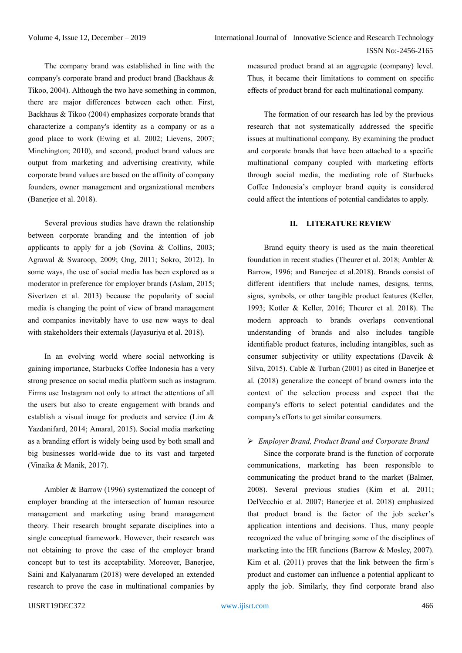The company brand was established in line with the company's corporate brand and product brand (Backhaus & Tikoo, 2004). Although the two have something in common, there are major differences between each other. First, Backhaus & Tikoo (2004) emphasizes corporate brands that characterize a company's identity as a company or as a good place to work (Ewing et al. 2002; Lievens, 2007; Minchington; 2010), and second, product brand values are output from marketing and advertising creativity, while corporate brand values are based on the affinity of company founders, owner management and organizational members (Banerjee et al. 2018).

Several previous studies have drawn the relationship between corporate branding and the intention of job applicants to apply for a job (Sovina & Collins, 2003; Agrawal & Swaroop, 2009; Ong, 2011; Sokro, 2012). In some ways, the use of social media has been explored as a moderator in preference for employer brands (Aslam, 2015; Sivertzen et al. 2013) because the popularity of social media is changing the point of view of brand management and companies inevitably have to use new ways to deal with stakeholders their externals (Jayasuriya et al. 2018).

In an evolving world where social networking is gaining importance, Starbucks Coffee Indonesia has a very strong presence on social media platform such as instagram. Firms use Instagram not only to attract the attentions of all the users but also to create engagement with brands and establish a visual image for products and service (Lim & Yazdanifard, 2014; Amaral, 2015). Social media marketing as a branding effort is widely being used by both small and big businesses world-wide due to its vast and targeted (Vinaika & Manik, 2017).

Ambler & Barrow (1996) systematized the concept of employer branding at the intersection of human resource management and marketing using brand management theory. Their research brought separate disciplines into a single conceptual framework. However, their research was not obtaining to prove the case of the employer brand concept but to test its acceptability. Moreover, Banerjee, Saini and Kalyanaram (2018) were developed an extended research to prove the case in multinational companies by

measured product brand at an aggregate (company) level. Thus, it became their limitations to comment on specific effects of product brand for each multinational company.

The formation of our research has led by the previous research that not systematically addressed the specific issues at multinational company. By examining the product and corporate brands that have been attached to a specific multinational company coupled with marketing efforts through social media, the mediating role of Starbucks Coffee Indonesia's employer brand equity is considered could affect the intentions of potential candidates to apply.

## **II. LITERATURE REVIEW**

Brand equity theory is used as the main theoretical foundation in recent studies (Theurer et al. 2018; Ambler & Barrow, 1996; and Banerjee et al.2018). Brands consist of different identifiers that include names, designs, terms, signs, symbols, or other tangible product features (Keller, 1993; Kotler & Keller, 2016; Theurer et al. 2018). The modern approach to brands overlaps conventional understanding of brands and also includes tangible identifiable product features, including intangibles, such as consumer subjectivity or utility expectations (Davcik & Silva, 2015). Cable & Turban (2001) as cited in Banerjee et al. (2018) generalize the concept of brand owners into the context of the selection process and expect that the company's efforts to select potential candidates and the company's efforts to get similar consumers.

# *Employer Brand, Product Brand and Corporate Brand*

Since the corporate brand is the function of corporate communications, marketing has been responsible to communicating the product brand to the market (Balmer, 2008). Several previous studies (Kim et al. 2011; DelVecchio et al. 2007; Banerjee et al. 2018) emphasized that product brand is the factor of the job seeker's application intentions and decisions. Thus, many people recognized the value of bringing some of the disciplines of marketing into the HR functions (Barrow & Mosley, 2007). Kim et al. (2011) proves that the link between the firm's product and customer can influence a potential applicant to apply the job. Similarly, they find corporate brand also

#### IJISRT19DEC372 [www.ijisrt.com](http://www.ijisrt.com/) 466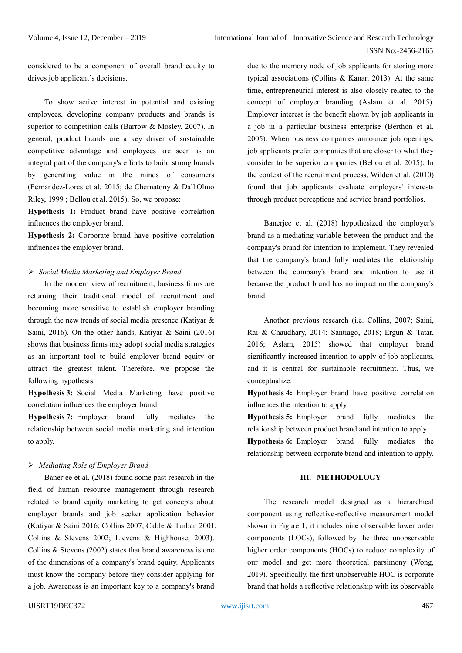considered to be a component of overall brand equity to drives job applicant's decisions.

To show active interest in potential and existing employees, developing company products and brands is superior to competition calls (Barrow & Mosley, 2007). In general, product brands are a key driver of sustainable competitive advantage and employees are seen as an integral part of the company's efforts to build strong brands by generating value in the minds of consumers (Fernandez-Lores et al. 2015; de Chernatony & Dall'Olmo Riley, 1999 ; Bellou et al. 2015). So, we propose:

**Hypothesis 1:** Product brand have positive correlation influences the employer brand.

**Hypothesis 2:** Corporate brand have positive correlation influences the employer brand.

#### *Social Media Marketing and Employer Brand*

In the modern view of recruitment, business firms are returning their traditional model of recruitment and becoming more sensitive to establish employer branding through the new trends of social media presence (Katiyar & Saini, 2016). On the other hands, Katiyar & Saini (2016) shows that business firms may adopt social media strategies as an important tool to build employer brand equity or attract the greatest talent. Therefore, we propose the following hypothesis:

**Hypothesis 3:** Social Media Marketing have positive correlation influences the employer brand.

**Hypothesis 7:** Employer brand fully mediates the relationship between social media marketing and intention to apply.

#### *Mediating Role of Employer Brand*

Banerjee et al. (2018) found some past research in the field of human resource management through research related to brand equity marketing to get concepts about employer brands and job seeker application behavior (Katiyar & Saini 2016; Collins 2007; Cable & Turban 2001; Collins & Stevens 2002; Lievens & Highhouse, 2003). Collins & Stevens (2002) states that brand awareness is one of the dimensions of a company's brand equity. Applicants must know the company before they consider applying for a job. Awareness is an important key to a company's brand

due to the memory node of job applicants for storing more typical associations (Collins & Kanar, 2013). At the same time, entrepreneurial interest is also closely related to the concept of employer branding (Aslam et al. 2015). Employer interest is the benefit shown by job applicants in a job in a particular business enterprise (Berthon et al. 2005). When business companies announce job openings, job applicants prefer companies that are closer to what they consider to be superior companies (Bellou et al. 2015). In the context of the recruitment process, Wilden et al. (2010) found that job applicants evaluate employers' interests through product perceptions and service brand portfolios.

Banerjee et al. (2018) hypothesized the employer's brand as a mediating variable between the product and the company's brand for intention to implement. They revealed that the company's brand fully mediates the relationship between the company's brand and intention to use it because the product brand has no impact on the company's brand.

Another previous research (i.e. Collins, 2007; Saini, Rai & Chaudhary, 2014; Santiago, 2018; Ergun & Tatar, 2016; Aslam, 2015) showed that employer brand significantly increased intention to apply of job applicants, and it is central for sustainable recruitment. Thus, we conceptualize:

**Hypothesis 4:** Employer brand have positive correlation influences the intention to apply.

**Hypothesis 5:** Employer brand fully mediates the relationship between product brand and intention to apply.

**Hypothesis 6:** Employer brand fully mediates the relationship between corporate brand and intention to apply.

## **III. METHODOLOGY**

The research model designed as a hierarchical component using reflective-reflective measurement model shown in Figure 1, it includes nine observable lower order components (LOCs), followed by the three unobservable higher order components (HOCs) to reduce complexity of our model and get more theoretical parsimony (Wong, 2019). Specifically, the first unobservable HOC is corporate brand that holds a reflective relationship with its observable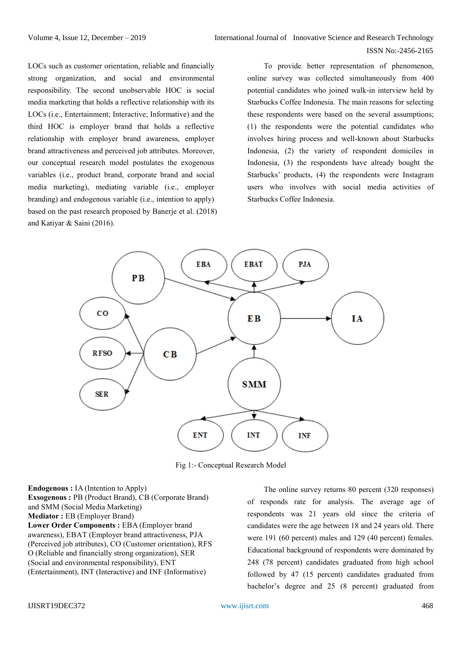LOCs such as customer orientation, reliable and financially strong organization, and social and environmental responsibility. The second unobservable HOC is social media marketing that holds a reflective relationship with its LOCs (i.e., Entertainment; Interactive; Informative) and the third HOC is employer brand that holds a reflective relationship with employer brand awareness, employer brand attractiveness and perceived job attributes. Moreover, our conceptual research model postulates the exogenous variables (i.e., product brand, corporate brand and social media marketing), mediating variable (i.e., employer branding) and endogenous variable (i.e., intention to apply) based on the past research proposed by Banerje et al. (2018) and Katiyar & Saini (2016).

To provide better representation of phenomenon, online survey was collected simultaneously from 400 potential candidates who joined walk-in interview held by Starbucks Coffee Indonesia. The main reasons for selecting these respondents were based on the several assumptions; (1) the respondents were the potential candidates who involves hiring process and well-known about Starbucks Indonesia, (2) the variety of respondent domiciles in Indonesia, (3) the respondents have already bought the Starbucks' products, (4) the respondents were Instagram users who involves with social media activities of Starbucks Coffee Indonesia.



Fig 1:- Conceptual Research Model

**Endogenous :** IA (Intention to Apply) **Exsogenous :** PB (Product Brand), CB (Corporate Brand) and SMM (Social Media Marketing) **Mediator :** EB (Employer Brand) **Lower Order Components :** EBA (Employer brand awareness), EBAT (Employer brand attractiveness, PJA (Perceived job attributes), CO (Customer orientation), RFS O (Reliable and financially strong organization), SER (Social and environmental responsibility), ENT (Entertainment), INT (Interactive) and INF (Informative)

The online survey returns 80 percent (320 responses) of responds rate for analysis. The average age of respondents was 21 years old since the criteria of candidates were the age between 18 and 24 years old. There were 191 (60 percent) males and 129 (40 percent) females. Educational background of respondents were dominated by 248 (78 percent) candidates graduated from high school followed by 47 (15 percent) candidates graduated from bachelor's degree and 25 (8 percent) graduated from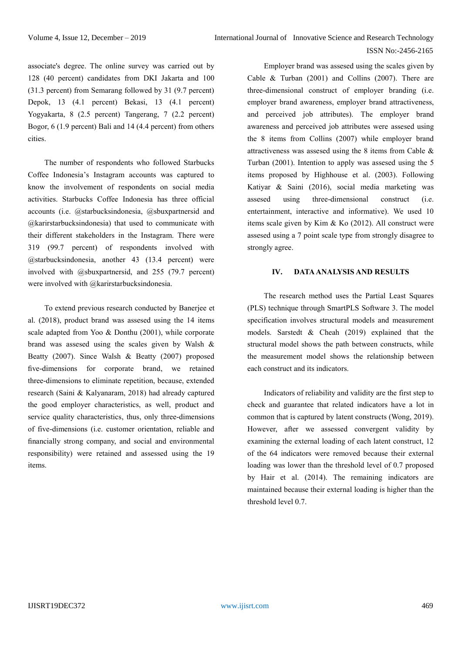associate's degree. The online survey was carried out by 128 (40 percent) candidates from DKI Jakarta and 100 (31.3 percent) from Semarang followed by 31 (9.7 percent) Depok, 13 (4.1 percent) Bekasi, 13 (4.1 percent) Yogyakarta, 8 (2.5 percent) Tangerang, 7 (2.2 percent) Bogor, 6 (1.9 percent) Bali and 14 (4.4 percent) from others cities.

The number of respondents who followed Starbucks Coffee Indonesia's Instagram accounts was captured to know the involvement of respondents on social media activities. Starbucks Coffee Indonesia has three official accounts (i.e. @starbucksindonesia, @sbuxpartnersid and @karirstarbucksindonesia) that used to communicate with their different stakeholders in the Instagram. There were 319 (99.7 percent) of respondents involved with @starbucksindonesia, another 43 (13.4 percent) were involved with @sbuxpartnersid, and 255 (79.7 percent) were involved with @karirstarbucksindonesia.

To extend previous research conducted by Banerjee et al. (2018), product brand was assesed using the 14 items scale adapted from Yoo & Donthu (2001), while corporate brand was assesed using the scales given by Walsh & Beatty (2007). Since Walsh & Beatty (2007) proposed five-dimensions for corporate brand, we retained three-dimensions to eliminate repetition, because, extended research (Saini & Kalyanaram, 2018) had already captured the good employer characteristics, as well, product and service quality characteristics, thus, only three-dimensions of five-dimensions (i.e. customer orientation, reliable and financially strong company, and social and environmental responsibility) were retained and assessed using the 19 items.

Employer brand was assesed using the scales given by Cable & Turban (2001) and Collins (2007). There are three-dimensional construct of employer branding (i.e. employer brand awareness, employer brand attractiveness, and perceived job attributes). The employer brand awareness and perceived job attributes were assesed using the 8 items from Collins (2007) while employer brand attractiveness was assesed using the 8 items from Cable & Turban (2001). Intention to apply was assesed using the 5 items proposed by Highhouse et al. (2003). Following Katiyar & Saini (2016), social media marketing was assesed using three-dimensional construct (i.e. entertainment, interactive and informative). We used 10 items scale given by Kim & Ko (2012). All construct were assesed using a 7 point scale type from strongly disagree to strongly agree.

## **IV. DATA ANALYSIS AND RESULTS**

The research method uses the Partial Least Squares (PLS) technique through SmartPLS Software 3. The model specification involves structural models and measurement models. Sarstedt & Cheah (2019) explained that the structural model shows the path between constructs, while the measurement model shows the relationship between each construct and its indicators.

Indicators of reliability and validity are the first step to check and guarantee that related indicators have a lot in common that is captured by latent constructs (Wong, 2019). However, after we assessed convergent validity by examining the external loading of each latent construct, 12 of the 64 indicators were removed because their external loading was lower than the threshold level of 0.7 proposed by Hair et al. (2014). The remaining indicators are maintained because their external loading is higher than the threshold level 0.7.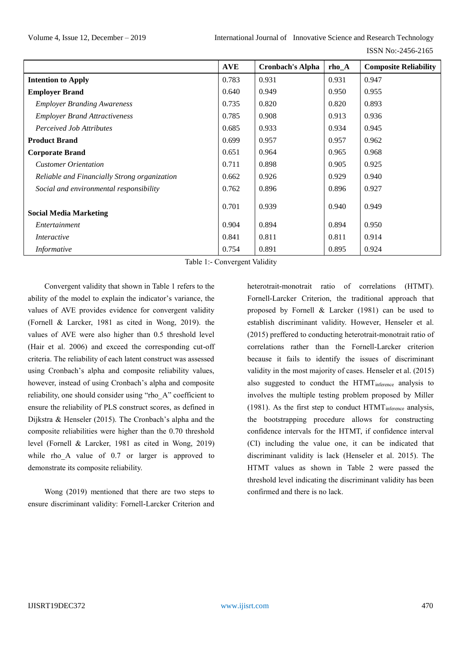|                                              | <b>AVE</b> | <b>Cronbach's Alpha</b> | $rho_A$ | <b>Composite Reliability</b> |
|----------------------------------------------|------------|-------------------------|---------|------------------------------|
| <b>Intention to Apply</b>                    | 0.783      | 0.931                   | 0.931   | 0.947                        |
| <b>Employer Brand</b>                        | 0.640      | 0.949                   | 0.950   | 0.955                        |
| <b>Employer Branding Awareness</b>           | 0.735      | 0.820                   | 0.820   | 0.893                        |
| <b>Employer Brand Attractiveness</b>         | 0.785      | 0.908                   | 0.913   | 0.936                        |
| <b>Perceived Job Attributes</b>              | 0.685      | 0.933                   | 0.934   | 0.945                        |
| <b>Product Brand</b>                         | 0.699      | 0.957                   | 0.957   | 0.962                        |
| <b>Corporate Brand</b>                       | 0.651      | 0.964                   | 0.965   | 0.968                        |
| <b>Customer Orientation</b>                  | 0.711      | 0.898                   | 0.905   | 0.925                        |
| Reliable and Financially Strong organization | 0.662      | 0.926                   | 0.929   | 0.940                        |
| Social and environmental responsibility      | 0.762      | 0.896                   | 0.896   | 0.927                        |
| <b>Social Media Marketing</b>                | 0.701      | 0.939                   | 0.940   | 0.949                        |
| Entertainment                                | 0.904      | 0.894                   | 0.894   | 0.950                        |
| Interactive                                  | 0.841      | 0.811                   | 0.811   | 0.914                        |
| Informative                                  | 0.754      | 0.891                   | 0.895   | 0.924                        |

Table 1:- Convergent Validity

Convergent validity that shown in Table 1 refers to the ability of the model to explain the indicator's variance, the values of AVE provides evidence for convergent validity (Fornell & Larcker, 1981 as cited in Wong, 2019). the values of AVE were also higher than 0.5 threshold level (Hair et al. 2006) and exceed the corresponding cut-off criteria. The reliability of each latent construct was assessed using Cronbach's alpha and composite reliability values, however, instead of using Cronbach's alpha and composite reliability, one should consider using "rho\_A" coefficient to ensure the reliability of PLS construct scores, as defined in Dijkstra & Henseler (2015). The Cronbach's alpha and the composite reliabilities were higher than the 0.70 threshold level (Fornell & Larcker, 1981 as cited in Wong, 2019) while rho A value of 0.7 or larger is approved to demonstrate its composite reliability.

Wong (2019) mentioned that there are two steps to ensure discriminant validity: Fornell-Larcker Criterion and heterotrait-monotrait ratio of correlations (HTMT). Fornell-Larcker Criterion, the traditional approach that proposed by Fornell & Larcker (1981) can be used to establish discriminant validity. However, Henseler et al. (2015) preffered to conducting heterotrait-monotrait ratio of correlations rather than the Fornell-Larcker criterion because it fails to identify the issues of discriminant validity in the most majority of cases. Henseler et al. (2015) also suggested to conduct the  $HTMT<sub>inference</sub>$  analysis to involves the multiple testing problem proposed by Miller (1981). As the first step to conduct  $HTML$  inference analysis, the bootstrapping procedure allows for constructing confidence intervals for the HTMT, if confidence interval (CI) including the value one, it can be indicated that discriminant validity is lack (Henseler et al. 2015). The HTMT values as shown in Table 2 were passed the threshold level indicating the discriminant validity has been confirmed and there is no lack.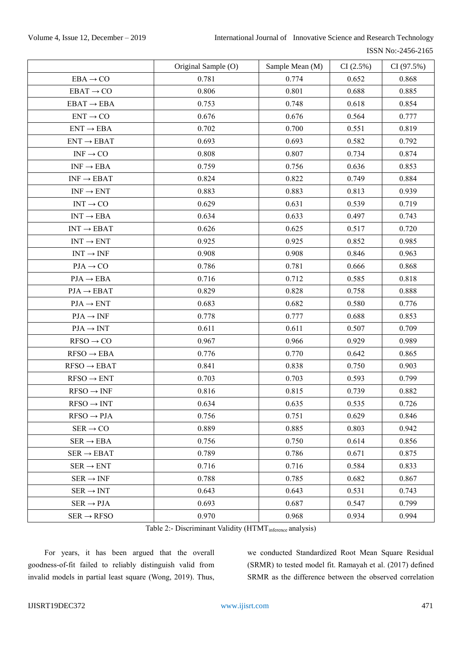## Volume 4, Issue 12, December – 2019 International Journal of Innovative Science and Research Technology

| ISSN No:-2456-2165 |
|--------------------|
|                    |

|                                      | Original Sample (O) | Sample Mean (M) | CI(2.5%) | CI(97.5%) |
|--------------------------------------|---------------------|-----------------|----------|-----------|
| $EBA \rightarrow CO$                 | 0.781               | 0.774           | 0.652    | 0.868     |
| $EBAT \rightarrow CO$                | 0.806               | 0.801           | 0.688    | 0.885     |
| $EBAT \rightarrow EBA$               | 0.753               | 0.748           | 0.618    | 0.854     |
| $ENT \rightarrow CO$                 | 0.676               | 0.676           | 0.564    | 0.777     |
| $ENT \rightarrow EBA$                | 0.702               | 0.700           | 0.551    | 0.819     |
| $\text{ENT} \rightarrow \text{EBAT}$ | 0.693               | 0.693           | 0.582    | 0.792     |
| $INF \rightarrow CO$                 | 0.808               | 0.807           | 0.734    | 0.874     |
| $INF \rightarrow EBA$                | 0.759               | 0.756           | 0.636    | 0.853     |
| $\text{INF} \rightarrow \text{EBAT}$ | 0.824               | 0.822           | 0.749    | 0.884     |
| $\text{INF} \rightarrow \text{ENT}$  | 0.883               | 0.883           | 0.813    | 0.939     |
| $INT \rightarrow CO$                 | 0.629               | 0.631           | 0.539    | 0.719     |
| $INT \rightarrow EBA$                | 0.634               | 0.633           | 0.497    | 0.743     |
| $\text{INT} \rightarrow \text{EBAT}$ | 0.626               | 0.625           | 0.517    | 0.720     |
| $\text{INT} \rightarrow \text{ENT}$  | 0.925               | 0.925           | 0.852    | 0.985     |
| $\text{INT} \rightarrow \text{INF}$  | 0.908               | 0.908           | 0.846    | 0.963     |
| $PJA \rightarrow CO$                 | 0.786               | 0.781           | 0.666    | 0.868     |
| $PJA \rightarrow EBA$                | 0.716               | 0.712           | 0.585    | 0.818     |
| $PIA \rightarrow EBAT$               | 0.829               | 0.828           | 0.758    | 0.888     |
| $PJA \rightarrow ENT$                | 0.683               | 0.682           | 0.580    | 0.776     |
| $PIA \rightarrow INF$                | 0.778               | 0.777           | 0.688    | 0.853     |
| $PIA \rightarrow INT$                | 0.611               | 0.611           | 0.507    | 0.709     |
| $RFSO \rightarrow CO$                | 0.967               | 0.966           | 0.929    | 0.989     |
| $RFSO \rightarrow EBA$               | 0.776               | 0.770           | 0.642    | 0.865     |
| $RFSO \rightarrow EBAT$              | 0.841               | 0.838           | 0.750    | 0.903     |
| $RFSO \rightarrow ENT$               | 0.703               | 0.703           | 0.593    | 0.799     |
| $RFSO \rightarrow INF$               | 0.816               | 0.815           | 0.739    | 0.882     |
| $RFSO \rightarrow INT$               | 0.634               | 0.635           | 0.535    | 0.726     |
| $RFSO \rightarrow PJA$               | 0.756               | 0.751           | 0.629    | 0.846     |
| $SER \rightarrow CO$                 | 0.889               | 0.885           | 0.803    | 0.942     |
| $SER \rightarrow EBA$                | 0.756               | 0.750           | 0.614    | 0.856     |
| $SER \rightarrow EBAT$               | 0.789               | 0.786           | 0.671    | 0.875     |
| $SER \rightarrow ENT$                | 0.716               | 0.716           | 0.584    | 0.833     |
| $SER \rightarrow INF$                | 0.788               | 0.785           | 0.682    | 0.867     |
| $SER \rightarrow INT$                | 0.643               | 0.643           | 0.531    | 0.743     |
| $SER \rightarrow PJA$                | 0.693               | 0.687           | 0.547    | 0.799     |
| $SER \rightarrow RFSO$               | 0.970               | 0.968           | 0.934    | 0.994     |

Table 2:- Discriminant Validity (HTMT<sub>inference</sub> analysis)

For years, it has been argued that the overall goodness-of-fit failed to reliably distinguish valid from invalid models in partial least square (Wong, 2019). Thus,

we conducted Standardized Root Mean Square Residual (SRMR) to tested model fit. Ramayah et al. (2017) defined SRMR as the difference between the observed correlation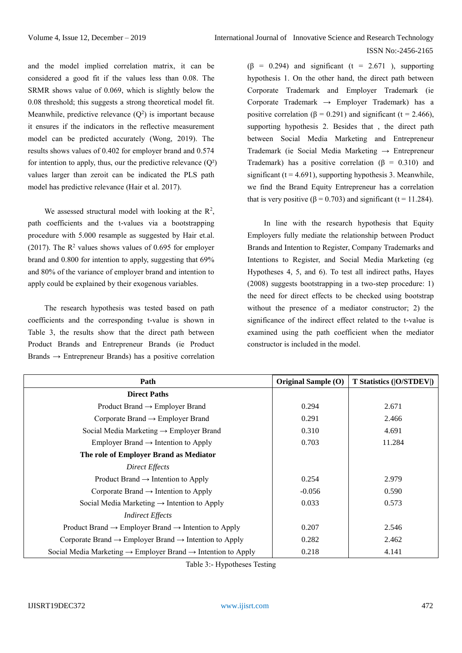and the model implied correlation matrix, it can be considered a good fit if the values less than 0.08. The SRMR shows value of 0.069, which is slightly below the 0.08 threshold; this suggests a strong theoretical model fit. Meanwhile, predictive relevance  $(Q^2)$  is important because it ensures if the indicators in the reflective measurement model can be predicted accurately (Wong, 2019). The results shows values of 0.402 for employer brand and 0.574 for intention to apply, thus, our the predictive relevance  $(Q<sup>2</sup>)$ values larger than zeroit can be indicated the PLS path model has predictive relevance (Hair et al. 2017).

We assessed structural model with looking at the  $\mathbb{R}^2$ , path coefficients and the t-values via a bootstrapping procedure with 5.000 resample as suggested by Hair et.al. (2017). The  $\mathbb{R}^2$  values shows values of 0.695 for employer brand and 0.800 for intention to apply, suggesting that 69% and 80% of the variance of employer brand and intention to apply could be explained by their exogenous variables.

The research hypothesis was tested based on path coefficients and the corresponding t-value is shown in Table 3, the results show that the direct path between Product Brands and Entrepreneur Brands (ie Product Brands  $\rightarrow$  Entrepreneur Brands) has a positive correlation  $(\beta = 0.294)$  and significant (t = 2.671), supporting hypothesis 1. On the other hand, the direct path between Corporate Trademark and Employer Trademark (ie Corporate Trademark  $\rightarrow$  Employer Trademark) has a positive correlation ( $\beta = 0.291$ ) and significant (t = 2.466), supporting hypothesis 2. Besides that , the direct path between Social Media Marketing and Entrepreneur Trademark (ie Social Media Marketing → Entrepreneur Trademark) has a positive correlation ( $\beta = 0.310$ ) and significant ( $t = 4.691$ ), supporting hypothesis 3. Meanwhile, we find the Brand Equity Entrepreneur has a correlation that is very positive ( $\beta$  = 0.703) and significant (t = 11.284).

In line with the research hypothesis that Equity Employers fully mediate the relationship between Product Brands and Intention to Register, Company Trademarks and Intentions to Register, and Social Media Marketing (eg Hypotheses 4, 5, and 6). To test all indirect paths, Hayes (2008) suggests bootstrapping in a two-step procedure: 1) the need for direct effects to be checked using bootstrap without the presence of a mediator constructor; 2) the significance of the indirect effect related to the t-value is examined using the path coefficient when the mediator constructor is included in the model.

| Path                                                                                 | Original Sample (O) | <b>T Statistics ( O/STDEV )</b> |
|--------------------------------------------------------------------------------------|---------------------|---------------------------------|
| <b>Direct Paths</b>                                                                  |                     |                                 |
| Product Brand $\rightarrow$ Employer Brand                                           | 0.294               | 2.671                           |
| Corporate Brand $\rightarrow$ Employer Brand                                         | 0.291               | 2.466                           |
| Social Media Marketing $\rightarrow$ Employer Brand                                  | 0.310               | 4.691                           |
| Employer Brand $\rightarrow$ Intention to Apply                                      | 0.703               | 11.284                          |
| The role of Employer Brand as Mediator                                               |                     |                                 |
| Direct Effects                                                                       |                     |                                 |
| Product Brand $\rightarrow$ Intention to Apply                                       | 0.254               | 2.979                           |
| Corporate Brand $\rightarrow$ Intention to Apply                                     | $-0.056$            | 0.590                           |
| Social Media Marketing $\rightarrow$ Intention to Apply                              | 0.033               | 0.573                           |
| <b>Indirect Effects</b>                                                              |                     |                                 |
| Product Brand $\rightarrow$ Employer Brand $\rightarrow$ Intention to Apply          | 0.207               | 2.546                           |
| Corporate Brand $\rightarrow$ Employer Brand $\rightarrow$ Intention to Apply        | 0.282               | 2.462                           |
| Social Media Marketing $\rightarrow$ Employer Brand $\rightarrow$ Intention to Apply | 0.218               | 4.141                           |

Table 3:- Hypotheses Testing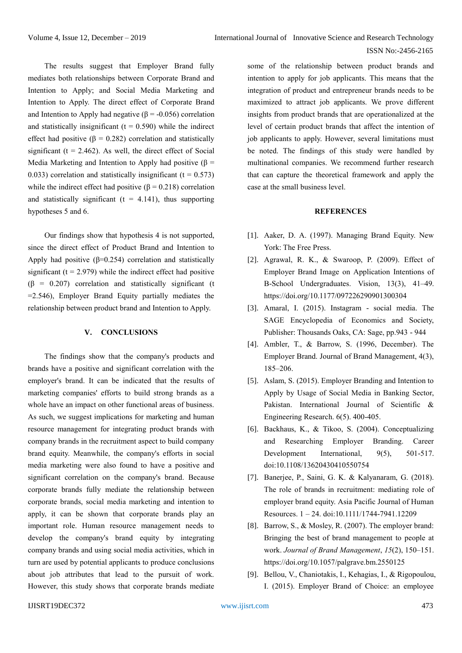The results suggest that Employer Brand fully mediates both relationships between Corporate Brand and Intention to Apply; and Social Media Marketing and Intention to Apply. The direct effect of Corporate Brand and Intention to Apply had negative ( $\beta$  = -0.056) correlation and statistically insignificant  $(t = 0.590)$  while the indirect effect had positive ( $\beta = 0.282$ ) correlation and statistically significant ( $t = 2.462$ ). As well, the direct effect of Social Media Marketing and Intention to Apply had positive ( $\beta$  = 0.033) correlation and statistically insignificant  $(t = 0.573)$ while the indirect effect had positive ( $\beta = 0.218$ ) correlation and statistically significant ( $t = 4.141$ ), thus supporting hypotheses 5 and 6.

Our findings show that hypothesis 4 is not supported, since the direct effect of Product Brand and Intention to Apply had positive  $(\beta=0.254)$  correlation and statistically significant ( $t = 2.979$ ) while the indirect effect had positive  $(\beta = 0.207)$  correlation and statistically significant (t  $=2.546$ ), Employer Brand Equity partially mediates the relationship between product brand and Intention to Apply.

#### **V. CONCLUSIONS**

The findings show that the company's products and brands have a positive and significant correlation with the employer's brand. It can be indicated that the results of marketing companies' efforts to build strong brands as a whole have an impact on other functional areas of business. As such, we suggest implications for marketing and human resource management for integrating product brands with company brands in the recruitment aspect to build company brand equity. Meanwhile, the company's efforts in social media marketing were also found to have a positive and significant correlation on the company's brand. Because corporate brands fully mediate the relationship between corporate brands, social media marketing and intention to apply, it can be shown that corporate brands play an important role. Human resource management needs to develop the company's brand equity by integrating company brands and using social media activities, which in turn are used by potential applicants to produce conclusions about job attributes that lead to the pursuit of work. However, this study shows that corporate brands mediate

some of the relationship between product brands and intention to apply for job applicants. This means that the integration of product and entrepreneur brands needs to be maximized to attract job applicants. We prove different insights from product brands that are operationalized at the level of certain product brands that affect the intention of job applicants to apply. However, several limitations must be noted. The findings of this study were handled by multinational companies. We recommend further research that can capture the theoretical framework and apply the case at the small business level.

## **REFERENCES**

- [1]. Aaker, D. A. (1997). Managing Brand Equity. New York: The Free Press.
- [2]. Agrawal, R. K., & Swaroop, P. (2009). Effect of Employer Brand Image on Application Intentions of B-School Undergraduates. Vision, 13(3), 41–49. https://doi.org/10.1177/097226290901300304
- [3]. Amaral, I. (2015). Instagram social media. The SAGE Encyclopedia of Economics and Society, Publisher: Thousands Oaks, CA: Sage, pp.943 - 944
- [4]. Ambler, T., & Barrow, S. (1996, December). The Employer Brand. Journal of Brand Management, 4(3), 185–206.
- [5]. Aslam, S. (2015). Employer Branding and Intention to Apply by Usage of Social Media in Banking Sector, Pakistan. International Journal of Scientific & Engineering Research. 6(5). 400-405.
- [6]. Backhaus, K., & Tikoo, S. (2004). Conceptualizing and Researching Employer Branding. Career Development International, 9(5), 501-517. doi:10.1108/13620430410550754
- [7]. Banerjee, P., Saini, G. K. & Kalyanaram, G. (2018). The role of brands in recruitment: mediating role of employer brand equity. Asia Pacific Journal of Human Resources. 1 – 24. doi:10.1111/1744-7941.12209
- [8]. Barrow, S., & Mosley, R. (2007). The employer brand: Bringing the best of brand management to people at work. *Journal of Brand Management*, *15*(2), 150–151. https://doi.org/10.1057/palgrave.bm.2550125
- [9]. Bellou, V., Chaniotakis, I., Kehagias, I., & Rigopoulou, I. (2015). Employer Brand of Choice: an employee

#### IJISRT19DEC372 [www.ijisrt.com](http://www.ijisrt.com/) 473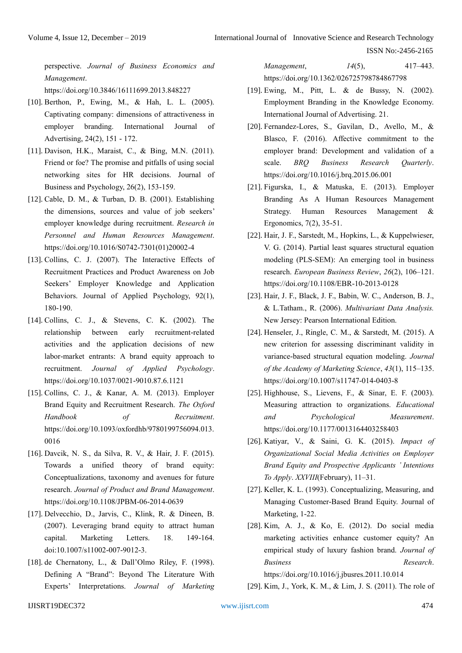perspective. *Journal of Business Economics and Management*.

https://doi.org/10.3846/16111699.2013.848227

- [10]. Berthon, P., Ewing, M., & Hah, L. L. (2005). Captivating company: dimensions of attractiveness in employer branding. International Journal of Advertising, 24(2), 151 - 172.
- [11]. Davison, H.K., Maraist, C., & Bing, M.N. (2011). Friend or foe? The promise and pitfalls of using social networking sites for HR decisions. Journal of Business and Psychology, 26(2), 153-159.
- [12]. Cable, D. M., & Turban, D. B. (2001). Establishing the dimensions, sources and value of job seekers' employer knowledge during recruitment. *Research in Personnel and Human Resources Management*. https://doi.org/10.1016/S0742-7301(01)20002-4
- [13]. Collins, C. J. (2007). The Interactive Effects of Recruitment Practices and Product Awareness on Job Seekers' Employer Knowledge and Application Behaviors. Journal of Applied Psychology, 92(1), 180-190.
- [14]. Collins, C. J., & Stevens, C. K. (2002). The relationship between early recruitment-related activities and the application decisions of new labor-market entrants: A brand equity approach to recruitment. *Journal of Applied Psychology*. https://doi.org/10.1037/0021-9010.87.6.1121
- [15]. Collins, C. J., & Kanar, A. M. (2013). Employer Brand Equity and Recruitment Research. *The Oxford Handbook of Recruitment*. https://doi.org/10.1093/oxfordhb/9780199756094.013. 0016
- [16]. Davcik, N. S., da Silva, R. V., & Hair, J. F. (2015). Towards a unified theory of brand equity: Conceptualizations, taxonomy and avenues for future research. *Journal of Product and Brand Management*. https://doi.org/10.1108/JPBM-06-2014-0639
- [17]. Delvecchio, D., Jarvis, C., Klink, R. & Dineen, B. (2007). Leveraging brand equity to attract human capital. Marketing Letters. 18. 149-164. doi:10.1007/s11002-007-9012-3.
- [18]. de Chernatony, L., & Dall'Olmo Riley, F. (1998). Defining A "Brand": Beyond The Literature With Experts' Interpretations. *Journal of Marketing*

*Management*, *14*(5), 417–443. https://doi.org/10.1362/026725798784867798

- [19]. Ewing, M., Pitt, L. & de Bussy, N. (2002). Employment Branding in the Knowledge Economy. International Journal of Advertising. 21.
- [20]. Fernandez-Lores, S., Gavilan, D., Avello, M., & Blasco, F. (2016). Affective commitment to the employer brand: Development and validation of a scale. *BRQ Business Research Quarterly*. https://doi.org/10.1016/j.brq.2015.06.001
- [21]. Figurska, I., & Matuska, E. (2013). Employer Branding As A Human Resources Management Strategy. Human Resources Management & Ergonomics, 7(2), 35-51.
- [22]. Hair, J. F., Sarstedt, M., Hopkins, L., & Kuppelwieser, V. G. (2014). Partial least squares structural equation modeling (PLS-SEM): An emerging tool in business research. *European Business Review*, *26*(2), 106–121. https://doi.org/10.1108/EBR-10-2013-0128
- [23]. Hair, J. F., Black, J. F., Babin, W. C., Anderson, B. J., & L.Tatham., R. (2006). *Multivariant Data Analysis.* New Jersey: Pearson International Edition.
- [24]. Henseler, J., Ringle, C. M., & Sarstedt, M. (2015). A new criterion for assessing discriminant validity in variance-based structural equation modeling. *Journal of the Academy of Marketing Science*, *43*(1), 115–135. https://doi.org/10.1007/s11747-014-0403-8
- [25]. Highhouse, S., Lievens, F., & Sinar, E. F. (2003). Measuring attraction to organizations. *Educational and Psychological Measurement*. https://doi.org/10.1177/0013164403258403
- [26]. Katiyar, V., & Saini, G. K. (2015). *Impact of Organizational Social Media Activities on Employer Brand Equity and Prospective Applicants ' Intentions To Apply*. *XXVIII*(February), 11–31.
- [27]. Keller, K. L. (1993). Conceptualizing, Measuring, and Managing Customer-Based Brand Equity. Journal of Marketing, 1-22.
- [28]. Kim, A. J., & Ko, E. (2012). Do social media marketing activities enhance customer equity? An empirical study of luxury fashion brand. *Journal of Business Research*. https://doi.org/10.1016/j.jbusres.2011.10.014
- [29]. Kim, J., York, K. M., & Lim, J. S. (2011). The role of